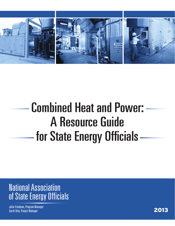

# Combined Heat and Power: A Resource Guide for State Energy Officials

National Association of State Energy Officials

Julia Friedman, Program Manager odina (modina), projectivalizacje i podporu i podporu i podporu i podporu i podporu i podporu i podporu i podp<br>Garth Otto, Project Manager i podporu i podporu i podporu i podporu i podporu i podporu i podporu i podporu i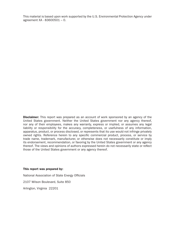This material is based upon work supported by the U.S. Environmental Protection Agency under agreement XA - 83600501 – 0.

**Disclaimer:** This report was prepared as an account of work sponsored by an agency of the United States government. Neither the United States government nor any agency thereof, nor any of their employees, makes any warranty, express or implied, or assumes any legal liability or responsibility for the accuracy, completeness, or usefulness of any information, apparatus, product, or process disclosed, or represents that its use would not infringe privately owned rights. Reference herein to any specific commercial product, process, or service by trade name, trademark, manufacturer, or otherwise does not necessarily constitute or imply its endorsement, recommendation, or favoring by the United States government or any agency thereof. The views and opinions of authors expressed herein do not necessarily state or reflect those of the United States government or any agency thereof.

#### This report was prepared by:

National Association of State Energy Officials

2107 Wilson Boulevard, Suite 850

Arlington, Virginia 22201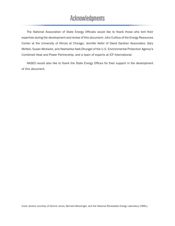### Acknowledgments

The National Association of State Energy Officials would like to thank those who lent their expertise during the development and review of this document: John Cuttica of the Energy Resources Center at the University of Illinois at Chicago; Jennifer Kefer of David Gardner Associates; Gary McNeil, Susan Wickwire, and Neeharika Naik-Dhungel of the U.S. Environmental Protection Agency's Combined Heat and Power Partnership; and a team of experts at ICF International.

NASEO would also like to thank the State Energy Offices for their support in the development of this document.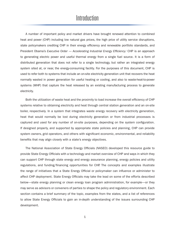#### **Introduction**

A number of important policy and market drivers have brought renewed attention to combined heat and power (CHP) including low natural gas prices, the high price of utility service disruptions, state policymakers crediting CHP in their energy efficiency and renewable portfolio standards, and President Obama's *Executive Order — Accelerating Industrial Energy Efficiency.<sup>i</sup>* CHP is an approach to generating electric power and useful thermal energy from a single fuel source. It is a form of distributed generation that does not refer to a single technology, but rather an integrated energy system sited at, or near, the energy-consuming facility. For the purposes of this document, CHP is used to refer both to systems that include an on-site electricity generation unit that recovers the heat normally wasted in power generation for useful heating or cooling, and also to waste-heat-to-power systems (WHP) that capture the heat released by an existing manufacturing process to generate electricity.

Both the utilization of waste heat and the proximity to load increase the overall efficiency of CHP systems relative to obtaining electricity and heat through central station generation and an on-site boiler, respectively. In a system that integrates waste energy recovery with electricity generation, heat that would normally be lost during electricity generation or from industrial processes is captured and used for any number of on-site purposes, depending on the system configuration. If designed properly, and supported by appropriate state policies and planning, CHP can provide system owners, grid operators, and others with significant economic, environmental, and reliability benefits that may align closely with a state's energy objectives.

The National Association of State Energy Officials (NASEO) developed this resource guide to provide State Energy Officials with a technology and market overview of CHP and ways in which they can support CHP through state energy and energy assurance planning, energy policies and utility regulations, and funding/financing opportunities for CHP. The concepts and examples illustrate the range of initiatives that a State Energy Official or policymaker can influence or administer to affect CHP deployment. State Energy Officials may take the lead on some of the efforts described below—state energy planning or clean energy loan program administration, for example—or they may serve as advisors or conveners of parties to shape the policy and regulatory environment. Each section contains a brief summary of the topic, examples from the states, and a list of references to allow State Energy Officials to gain an in-depth understanding of the issues surrounding CHP development.

1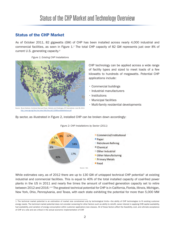### Status of the CHP Market and Technology Overview

#### Status of the CHP Market

As of October 2011, 82 gigawatts (GW) of CHP has been installed across nearly 4,000 industrial and commercial facilities, as seen in Figure 1.*ii* The total CHP capacity of 82 GW represents just over 8% of current U.S. generating capacity.*iii* 

*Figure 1: Existing CHP Installations*



an, Combined Heat and Power: Markets and Challenges, ICF International, June 28, 2012 http://www.nga.org/files/live/sites/NGA/files/pdf/1206RoundtableHedman.pdf

CHP technology can be applied across a wide range of facility types and sized to meet loads of a few kilowatts to hundreds of megawatts. Potential CHP applications include:

- Commercial buildings
- Industrial manufacturers
- Institutions
- Municipal facilities
- Multi-family residential developments

By sector, as illustrated in Figure 2, installed CHP can be broken down accordingly:



*Figure 2: CHP Installations by Sector (2011)*

While estimates vary, as of 2012 there are up to 130 GW of untapped technical CHP potential<sup>1</sup> at existing industrial and commercial facilities. This is equal to 40% of the total installed capacity of coal-fired power plants in the US in 2011 and nearly five times the amount of coal-fired generation capacity set to retire between 2012 and 2016.*vi,vii* The greatest technical potential for CHP is in California, Florida, Illinois, Michigan, New York, Ohio, Pennsylvania, and Texas, with each state exhibiting the potential for more than 5,000 MW

<sup>1</sup> The technical market potential is an estimation of market size constrained only by technological limits—the ability of CHP technologies to fit existing customer energy needs. The technical market potential does not consider screening for other factors such as ability to retrofit, owner interest in applying CHP, capital availability, fuel availability, and variation of energy consumption within customer application/size classes. All of these factors affect the feasibility, cost, and ultimate acceptance of CHP at a site and are critical in the actual economic implementation of CHP.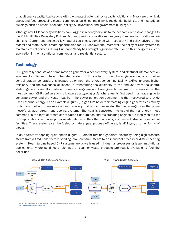of additional capacity. Applications with the greatest potential (by capacity additions in MWs) are chemical, paper, and food processing plants, commercial buildings, multi-family residential buildings, and institutional buildings such as hotels, hospitals, colleges/universities, and government buildings.*viii*

Although new CHP capacity additions have lagged in recent years due to the economic recession, changes to the Public Utilities Regulatory Policies Act, and previously volatile natural gas prices, market conditions are changing. Current and projected low natural gas prices, combined with regulatory and policy drivers at the federal and state levels, create opportunities for CHP deployment. Moreover, the ability of CHP systems to maintain critical services during Hurricane Sandy has brought significant attention to this energy resource's application in the institutional, commercial, and residential sectors.

#### **Technology**

CHP generally consists of a prime mover, a generator, a heat recovery system, and electrical interconnection equipment configured into an integrated system. CHP is a form of distributed generation, which, unlike central station generation, is located at or near the energy-consuming facility. CHP's inherent higher efficiency and the avoidance of losses in transmitting the electricity to the end-user from the central station generator result in reduced primary energy use and lower greenhouse gas (GHG) emissions. The most common CHP configuration is known as a *topping cycle*, where fuel is first used in a heat engine to generate power, and the waste heat from the power generation equipment is then recovered to provide useful thermal energy. As an example (Figure 3), a gas turbine or reciprocating engine generates electricity by burning fuel and then uses a heat recovery unit to capture useful thermal energy from the prime mover's exhaust stream and cooling systems. The heat is converted into useful thermal energy, most commonly in the form of steam or hot water. Gas turbines and reciprocating engines are ideally suited for CHP applications with large power needs relative to their thermal loads, such as industrial or commercial facilities. These systems can be fueled by natural gas, process offgases, landfill gas, or other forms of biogas.

In an alternative topping cycle option (Figure 4), steam turbines generate electricity using high-pressure steam from a fired boiler before sending lower-pressure steam to an industrial process or district heating system. Steam turbine-based CHP systems are typically used in industrial processes or larger institutional applications, where solid fuels (biomass or coal) or waste products are readily available to fuel the boiler unit.



Source: Basic Information. U.S. EPA Combined Heat and Power Partnership. December 6, 2012. http://www.epa.gov/chp/basic/index.htm





Source: Ibid.

3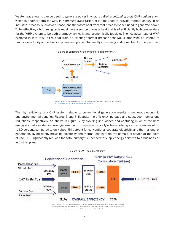Waste heat streams can be used to generate power in what is called a *bottoming cycle* CHP configuration, which is another term for WHP. In *bottoming cycle* CHP, fuel is first used to provide thermal energy in an industrial process, such as a furnace, and the waste heat from that process is then used to generate power. To be effective, a bottoming cycle must have a source of waste heat that is of sufficiently high temperature for the WHP system to be both thermodynamically and economically feasible. The key advantage of WHP systems is that they utilize heat from an existing thermal process that would otherwise be wasted to produce electricity or mechanical power, as opposed to directly consuming additional fuel for this purpose.



*Figure 5: Bottoming Cycle or Waste Heat to Power CHP*

The high efficiency of a CHP system relative to conventional generation results in numerous economic and environmental benefits. Figures 6 and 7 illustrate the efficiency increase and subsequent emissions reductions, respectively. As shown in Figure 5, by avoiding line losses and capturing much of the heat energy normally wasted in power generation, CHP systems typically achieve total system efficiencies of 60 to 80 percent, compared to only about 50 percent for conventional separate electricity and thermal energy generation. By efficiently providing electricity and thermal energy from the same fuel source at the point of use, CHP significantly reduces the total primary fuel needed to supply energy services to a business or industrial plant.



Note: Efficiency can be calculated through a number of different and legitimate ways; however, the efficiency numbers that EPA cites are referred to as "total system efficiency." Total system efficiency is the total power and useful thermal energy output of the system divided by the fuel used to produce the power and heat.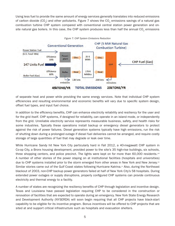Using less fuel to provide the same amount of energy services generally translates into reduced emissions of carbon dioxide (CO<sub>2</sub>) and other pollutants. Figure 7 shows the CO<sub>2</sub> emissions savings of a natural gas combustion turbine CHP system compared with conventional central station power generation and onsite natural gas boilers. In this case, the CHP system produces less than half the annual  $CO<sub>2</sub>$  emissions



*Figure 7: CHP System Emissions Reduction*

of separate heat and power while providing the same energy services. Note that individual CHP system efficiencies and resulting environmental and economic benefits will vary due to specific system design, offset fuel types, and input fuel choice.

In addition to the efficiency benefits, CHP can enhance electricity reliability and resiliency for the user and for the grid itself. CHP systems, if designed for reliability, can operate in an island mode, or independently from the grid. Unreliable electricity service represents measurable business, safety, and health risks for some industries. Typically these operations install backup or emergency diesel generators to protect against the risk of power failures. Diesel generation systems typically have high emissions, run the risk of shutting down during a prolonged outage if diesel fuel deliveries cannot be arranged, and require costly storage of large quantities of fuel that may degrade or leak over time.

While Hurricane Sandy hit New York City particularly hard in Fall 2012, a 40-megawatt CHP system in Co-op City, a Bronx housing development, provided power to the site's 35 high-rise buildings, six schools, three shopping centers, and police precinct. The lights were kept on for more than 60,000 residents.*xiii* A number of other stories of the power staying on at institutional facilities (hospitals and universities) due to CHP systems installed prior to the storm emerged from other areas in New York and New Jersey.*xiv* Similar stories came out of the Gulf Coast states following Hurricane Katrina.<sup>*xv*</sup> Also, during the Northeast blackout of 2003, non-CHP backup power generators failed at half of New York City's 58 hospitals. During extended power outages or supply disruptions, properly configured CHP systems can provide continuous electricity and thermal energy to a facility.

A number of states are recognizing the resiliency benefits of CHP through legislation and incentive design. Texas and Louisiana have passed legislation requiring CHP to be considered in the construction or renovation of facilities that are expected to operate during an emergency. New York State Energy Research and Development Authority (NYSERDA) will soon begin requiring that all CHP projects have black-start capability to be eligible for its incentive program. Bonus incentives will be offered to CHP projects that are sited at and support critical infrastructure such as hospitals and evacuation shelters.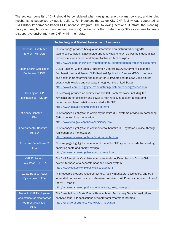The societal benefits of CHP should be considered when designing energy plans, policies, and funding mechanisms supported by public dollars. For instance, the Co-op City CHP facility was supported by NYSERDA's Performance-Based CHP Incentive Program. The following sections illustrate the planning, policy and regulatory, and funding and financing mechanisms that State Energy Offices can use to create a supportive environment for CHP within their state.

| <b>Technology and Market Assessment Resources</b>                                                              |                                                                                                                                                                                                                                                                                                                                                                                            |  |
|----------------------------------------------------------------------------------------------------------------|--------------------------------------------------------------------------------------------------------------------------------------------------------------------------------------------------------------------------------------------------------------------------------------------------------------------------------------------------------------------------------------------|--|
| <b>Industrial Distributed</b><br>Energy-US DOE                                                                 | This webpage provides background information on distributed energy (DE)<br>technologies, including gas-fueled and renewable energy, as well as industrial gas<br>turbines, micro-turbines, and thermal-activated technologies.<br>http://www1.eere.energy.gov/manufacturing/distributedenergy/technologies.html                                                                            |  |
| <b>Clean Energy Application</b><br>Centers-US DOE                                                              | DOE's Regional Clean Energy Application Centers (CEACs), formerly called the<br>Combined Heat and Power (CHP) Regional Application Centers (RACs), promote<br>and assist in transforming the market for CHP, waste-heat-to-power, and district<br>energy technologies and concepts throughout the United States.<br>http://www1.eere.energy.gov/manufacturing/distributedenergy/ceacs.html |  |
| Catalog of CHP<br>Technologies-US EPA                                                                          | This catalog provides an overview of how CHP systems work, including the<br>key concepts of efficiency and power-to-heat ratios, in addition to cost and<br>performance characteristics associated with CHP.<br>http://www.epa.gov/chp/technologies.html                                                                                                                                   |  |
| <b>Efficiency Benefits-US</b><br><b>EPA</b>                                                                    | This webpage highlights the efficiency benefits CHP systems provide, by comparing<br>CHP to conventional generation.<br>http://www.epa.gov/chp/basic/efficiency.html                                                                                                                                                                                                                       |  |
| <b>Environmental Benefits-</b><br><b>US EPA</b>                                                                | This webpage highlights the environmental benefits CHP systems provide, through<br>verification and monetization.<br>http://www.epa.gov/chp/basic/environmental.html                                                                                                                                                                                                                       |  |
| Economic Benefits-US<br><b>EPA</b>                                                                             | This webpage highlights the economic benefits CHP systems provide by providing<br>operating costs and energy savings.<br>http://www.epa.gov/chp/basic/economics.html                                                                                                                                                                                                                       |  |
| <b>CHP Emissions</b><br>Calculator-US EPA                                                                      | The CHP Emissions Calculator compares fuel-specific emissions from a CHP<br>system to those of a separate heat and power system.<br>http://www.epa.gov/chp/basic/calculator.html                                                                                                                                                                                                           |  |
| <b>Waste Heat to Power</b><br>Systems-US EPA                                                                   | This resource provides resource owners, facility managers, developers, and other<br>interested parties with a comprehensive overview of WHP and a characterization of<br>the WHP market.<br>http://www.epa.gov/chp/documents/waste heat power.pdf                                                                                                                                          |  |
| <b>Strategic CHP Deployment</b><br><b>Assistance for Wastewater</b><br>Treatment Facilities-<br><b>ASERTTI</b> | The Association of State Energy Research and Technology Transfer Institutions<br>analyzed four CHP applications at wastewater treatment facilities.<br>http://archive.asertti.org/wastewater/index.html                                                                                                                                                                                    |  |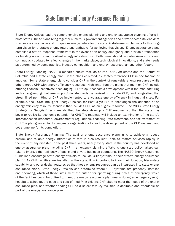### State Energy and Energy Assurance Planning

State Energy Offices lead the comprehensive energy planning and energy assurance planning efforts in most states. These plans bring together numerous government agencies and private-sector stakeholders to ensure a sustainable and prosperous energy future for the state. A state energy plan sets forth a longterm vision for a state's energy future and pathways for achieving that vision. Energy assurance plans establish a state's response framework in the event of an energy emergency and provide a foundation for building a secure and resilient energy infrastructure. Both plans should be data-driven efforts and continuously updated to reflect changes in the marketplace, technological innovations, and state needs as determined by demographics, industry composition, and energy resources, among other factors.

State Energy Planning: NASEO's research shows that, as of late 2011, 38 states and the District of Columbia had a state energy plan. Of the plans collected, 17 states reference CHP in one fashion or another. Some state energy plans consider CHP in the context of renewable energy resources while others group CHP with energy efficiency resources. Highlights from the plans that mention CHP include offering financial incentives; encouraging CHP to spur economic development within the manufacturing sector; suggesting that energy portfolio standards be revised to include CHP; and suggesting that streamlined permitting of CHP be implemented to encourage energy efficiency in industrial sites. For example, the 2008 Intelligent Energy Choices for Kentucky's Future encourages the adoption of an energy efficiency resource standard that includes CHP as an eligible resource. The 2006 State Energy Strategy for Georgia*xvii* recommends that the state develop a CHP roadmap so that the state may begin to realize its economic potential for CHP. The roadmap will include an examination of the state's interconnection standards, environmental regulations, financing, rate treatment, and tax treatment of CHP. The plan goes so far to designate organizations to lead the development of the CHP roadmap and set a timeline for its completion.

State Energy Assurance Planning: The goal of energy assurance planning is to achieve a robust, secure, and reliable energy infrastructure that is also resilient—able to restore services rapidly in the event of any disaster. In the past three years, nearly every state in the country has developed an energy assurance plan. Including CHP in emergency planning efforts is one step policymakers can take to improve the resiliency of public and private business operations. The NASEO Energy Assurance Guidelines encourage state energy officials to include CHP systems in their state's energy assurance plan.*xviii* As CHP facilities are installed in the state, it is important to know their location, black-state capability, and other design features so that these energy resources can be integrated into state energy assurance plans. State Energy Officials can determine where CHP systems are presently installed and operating, which of those sites meet the criteria for operating during times of emergency, which of the facilities could be utilized to meet the energy assurance plan needs during an emergency (e.g., hospitals, schools), the ease and cost of modifying existing CHP sites to meet the needs of the energy assurance plan, and whether adding CHP to a select few key facilities is desirable and affordable as part of the energy assurance plan.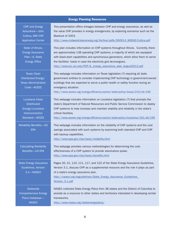| <b>Energy Planning Resources</b>                                                               |                                                                                                                                                                                                                                                                                                                                                                                                       |  |
|------------------------------------------------------------------------------------------------|-------------------------------------------------------------------------------------------------------------------------------------------------------------------------------------------------------------------------------------------------------------------------------------------------------------------------------------------------------------------------------------------------------|--|
| <b>CHP and Energy</b><br>Assurance-John<br>Cuttica, MW CHP<br><b>Application Center</b>        | This presentation offers linkages between CHP and energy assurance, as well as<br>the value CHP provides in energy emergencies, by exploring scenarios such as the<br>Blackout of 2003.<br>http://www.midwestcleanenergy.org/Archive/pdfs/060614 WSEAE-Cuttica.pdf                                                                                                                                    |  |
| State of Illinois,<br><b>Energy Assurance</b><br>Plan-IL State<br><b>Energy Office</b>         | This plan includes information on CHP systems throughout Illinois. Currently, there<br>are approximately 138 operating CHP systems, a majority of which are equipped<br>with black-start capabilities and synchronous generators, which allow them to serve<br>the facilities' loads in case the electricity grid de-energizes.<br>http://www.erc.uic.edu/PDF/IL_energy_assurance_plan_August2012.pdf |  |
| <b>Texas Clean</b><br>Distributed Energy/<br><b>Texas Administrative</b><br>Code-ACEEE         | This webpage includes information on Texas legislation (?) requiring all state<br>government entities to consider implementing CHP technology in government-owned<br>buildings that are expected to serve a public health or safety function during an<br>emergency situation.<br>http://www.aceee.org/energy-efficiency-sector/state-policy/texas/215/all/195                                        |  |
| Louisiana Clean<br><b>Distributed</b><br>Energy/Louisiana<br>Interconnection<br>Standard-ACEEE | This webpage includes information on Louisiana legislation (?) that prompts the<br>state's Department of Natural Resources and Public Service Commission to deploy<br>CHP systems to help increase and maintain stability and reliability in the state's<br>critical facilities.<br>http://www.aceee.org/energy-efficiency-sector/state-policy/louisiana/191/all/195                                  |  |
| <b>Reliability Benefits-US</b><br><b>EPA</b>                                                   | This webpage includes information on the reliability of CHP systems and the cost<br>savings associated with such systems by examining both standard CHP and CHP<br>with backup capabilities.<br>http://www.epa.gov/chp/basic/reliability.html                                                                                                                                                         |  |
| <b>Calculating Reliability</b><br>Benefits-US EPA                                              | This webpage provides various methodologies for determining the cost-<br>effectiveness of a CHP system to provide stand-alone power.<br>http://www.epa.gov/chp/basic/benefits.html                                                                                                                                                                                                                    |  |
| <b>State Energy Assurance</b><br>Guidelines, Version<br>3.1-NASEO                              | Pages 20, 21, 110, 111, 117, and 122 of the State Energy Assurance Guidelines,<br>Version 3.1, discuss CHP as a supplemental resource and the role it plays as part<br>of a state's energy assurance plan.<br>http://naseo.org/eaguidelines/State_Energy_Assurance_Guidelines_<br>Version 3.1.pdf                                                                                                     |  |
| <b>Statewide</b><br><b>Comprehensive Energy</b><br>Plans Database-<br><b>NASEO</b>             | NASEO collected State Energy Plans from 38 states and the District of Columbia to<br>provide as a resource to other states and territories interested in developing similar<br>frameworks.<br>http://www.naseo.org/stateenergyplans/                                                                                                                                                                  |  |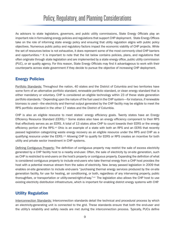### Policy, Regulatory, and Planning Considerations

As advisors to state legislators, governors, and public utility commissions, State Energy Officials play an important role in formulating energy policies and regulations that support CHP deployment. State Energy Offices take on the role of informing state energy policy and ensuring that utility regulation aligns with public policy objectives. Numerous public policy and regulatory factors impact the economic viability of CHP projects. While the set of resources below is not exhaustive, it does represent some of the most commonly cited CHP barriers and opportunities.<sup>xix</sup> It is important to note that the list below contains policies, plans, and regulations that often originate through state legislation and are implemented by a state energy office, public utility commission (PUC), or air quality agency. For this reason, State Energy Officials may find it advantageous to work with their counterparts across state government if they decide to pursue the objective of increasing CHP deployment.

#### Energy Policies

Portfolio Standards: Throughout the nation, 40 states and the District of Columbia and two territories have some form of an alternative portfolio standard, renewable portfolio standard, or clean energy standard that is either mandatory or voluntary. CHP is considered an eligible technology within 23 of these state generation portfolio standards.*xx* Depending upon the nature of the fuel used in the CHP system—for instance, if renewable biomass is used—the electricity and thermal output generated by the CHP facility may be eligible to meet the RPS portfolio standard in the other 17 states and the District of Columbia.

CHP is also an eligible resource to meet states' energy efficiency goals. Twenty states have an Energy Efficiency Resource Standard (EERS).*xxi* Some states also have an energy efficiency component to their RPS that effectively serves as an EERS. A total of 13 states allow CHP to count towards their EERS or the energy efficiency portion of the RPS.*xxii* Ohio is an example of a state with both an RPS and an EERS that recently passed legislation categorizing waste energy recovery as an eligible resource under the RPS and CHP as a qualifying resource under the EERS.*xxiii* Allowing CHP to qualify for EERS or RPS creates an incentive for both utility and private sector investment in CHP systems.

Defining Contiguous Property: The definition of contiguous property may restrict the sale of excess electricity generated by a CHP facility host to a nearby end-user. Often, the sale of electricity by on-site generation, such as CHP is restricted to end-users on the host's property or contiguous property. Expanding the definition of what is considered contiguous property to include end-users who take thermal energy from a CHP host provides the host with a potential revenue stream from the sales of electricity. New Jersey passed legislation in 2009 that enables on-site generation to include end-users "purchasing thermal energy services produced by the on-site generation facility, for use for heating, air conditioning, or both, regardless of any intervening property, public thoroughfare, or transportation or utility-owned-right-of-way."*xxiv* The legislation also allows the CHP host to use existing electricity distribution infrastructure, which is important for enabling district energy systems with CHP.

#### Utility Regulation

Interconnection Standards: Interconnection standards detail the technical and procedural process by which an electricity-generating unit is connected to the grid. These standards ensure that both the end-user and the utility's reliability and safety needs are met during the interconnection process. Typically, PUCs define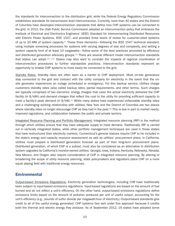the standards for interconnection to the distribution grid, while the Federal Energy Regulatory Commission establishes standards for transmission level interconnection. Currently, more than 40 states and the District of Columbia have developed interconnection standards that define how CHP systems can be connected to the grid. In 2010, the Utah Public Service Commission adopted an interconnection policy that embraces the Institute of Electrical and Electronics Engineers' (IEEE) Standard for Interconnecting Distributed Resources with Electric Power Systems, IEEE 1547, and provides three levels of review for customer-sited systems of up to 20 MW of system capacity.*xxv* These three elements—following the IEEE 1547 technical standard, using multiple screening processes for systems with varying degrees of size and complexity, and setting a system capacity limit of at least 10 megawatts—follow some of the best practices promoted by efficiency and distributed generation advocacy groups.*xxvi* There are several different model interconnection standards that states can adopt.*xxvii, xxviii* States may also want to consider the impacts of regional coordination of interconnection procedures to further standardize practices. Interconnection standards represent an opportunity to enable CHP systems to more easily be connected to the grid.

Standby Rates: Standby rates are often seen as a barrier to CHP deployment. Most on-site generators stay connected to the grid and contract with the utility company for electricity in the event that the onsite generator experiences an outage (scheduled or emergency). For this backup service, utilities charge customers standby rates (also called backup rates, partial requirements, and other terms). Such charges are typically comprised of two elements: energy charges that cover the actual electricity delivered the CHP facility (in \$/kWh) and demand charges that reflect the cost to the utility for providing sufficient capacity to meet a facility's peak demand (in \$/kW).*xxix* While many states have experienced unfavorable standby rates and a challenging working relationship with utilities, New York and the District of Columbia are two places where standby rates no longer discourage CHP as they had in the past. $\infty$  This is due in part to market needs, improved regulations, and collaboration between the public and private sectors.

Integrated Resource Planning and Portfolio Management: Integrated resource planning (IRP) is the method through which utilities ensure that they have adequate supply to meet demand. Traditionally, IRP is carried out in vertically integrated states, while other portfolio management techniques are used in those states that have restructured their electricity markets. Connecticut's general statues require CHP to be included in the state's energy and capacity resource assessment as well as utilities' procurement plans. In California, utilities must prepare a distributed generation forecast as part of their long-term procurement plans. Distributed generation, of which CHP is a subset, must also be considered as an alternative to distribution system upgrades by California's investor-owned utilities. Georgia, Iowa, Indiana, Kentucky, Nebraska, Nevada, New Mexico, and Oregon also require consideration of CHP in integrated resource planning. By altering or broadening the scope of utility resource planning, state policymakers and regulators place CHP on a more equal playing field with traditional energy resources.

#### **Environmental**

Output-based Emissions Regulations: Electricity generation technologies, including CHP, have traditionally been subject to input-based emissions regulations. Input-based regulations are based on the amount of fuel burned and do not reflect a unit's efficiency. On the other hand, output-based emissions regulations define emissions limits based on the amount of pollution produced per unit of useful output, accounting for the unit's efficiency (e.g., pounds of sulfur dioxide per megawatt-hour of electricity.) Output-based standards give credit to all of the useful energy generated. CHP systems fare well under this approach because it credits both the thermal and electric energy they produce. As of September 2012, 19 states have adopted some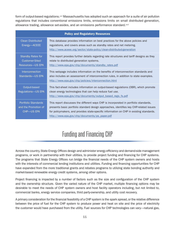form of output-based regulations.*xxxi* Massachusetts has adopted such an approach for a suite of air pollution regulations that includes conventional emissions limits, emissions limits on small distributed generation, allowance trading, allowance set-asides, and an emissions performance standard.<sup>xxxii</sup>

| <b>Policy and Regulatory Resources</b>                                  |                                                                                                                                                                                                                                                                                                                            |  |
|-------------------------------------------------------------------------|----------------------------------------------------------------------------------------------------------------------------------------------------------------------------------------------------------------------------------------------------------------------------------------------------------------------------|--|
| <b>Clean Distributed</b><br>Energy-ACEEE                                | This database provides information on best practices for the above policies and<br>regulations, and covers areas such as standby rates and net metering.<br>http://www.aceee.org/sector/state-policy/clean-distributed-generation                                                                                          |  |
| <b>Standby Rates for</b><br><b>Customer-Sited</b><br>Resources-US EPA   | This report provides further details regarding rate structures and tariff designs as they<br>relate to distributed generation systems.<br>http://www.epa.gov/chp/documents/standby rates.pdf                                                                                                                               |  |
| Interconnection<br>Standards-US EPA                                     | This webpage includes information on the benefits of interconnection standards and<br>also includes an assessment of interconnection rules, in addition to state examples.<br>http://www.epa.gov/chp/policies/interconnection.html                                                                                         |  |
| Output-based<br><b>Regulations-US EPA</b>                               | This fact-sheet includes information on output-based regulations (OBR), which promote<br>clean energy technologies that can help reduce fuel use.<br>http://www.epa.gov/chp/documents/output based regs fs.pdf                                                                                                             |  |
| <b>Portfolio Standards</b><br>and the Promotion of<br><b>CHP-US EPA</b> | This report discusses the different ways CHP is incorporated in portfolio standards,<br>presents basic portfolio standard design approaches, identifies key CHP-related issues<br>for policymakers, and provides state-specific information on CHP in existing standards.<br>http://www.epa.gov/chp/documents/ps_paper.pdf |  |

## Funding and Financing CHP

Across the country, State Energy Offices design and administer energy efficiency and demand-side management programs, or work in partnership with their utilities, to provide project funding and financing for CHP systems. The programs that State Energy Offices run bridge the financial needs of the CHP system owners and hosts with the interests of commercial lending institutions and utilities. Funding and financing opportunities for CHP have expanded from the more traditional grants and rebates programs to utilizing state bonding authority and market-based renewable energy credit systems, among other options.

Project financing is impacted by a number of factors such as the size and configuration of the CHP system and the ownership structure. Given the varied nature of the CHP market, multiple financing options may be desirable to meet the needs of CHP system owners and host facility operators including, but not limited to, commercial banks, energy service companies, third party-ownership, and utility cost recovery.

A primary consideration for the financial feasibility of a CHP system is the spark spread, or the relative difference between the price of fuel for the CHP system to produce power and heat on site and the price of electricity the customer would have purchased from the utility. Fuel sources for CHP technologies can vary—natural gas,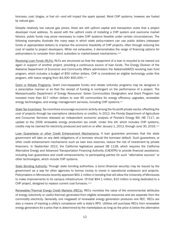biomass, coal, biogas, or fuel oil—and will impact the spark spread. Most CHP systems, however, are fueled by natural gas.

Despite relatively low natural gas prices, there are still upfront capital and transaction costs that a project developer must address. To assist with the upfront costs of installing a CHP system and overcome market failures, public funds may prove necessary to make CHP systems feasible under certain circumstances. The following examples illustrate the many ways in which state policy-makers can use public dollars (ratepayer funds or appropriated dollars) to improve the economic feasibility of CHP projects, often through reducing the cost of capital to project developers. While not exhaustive, it demonstrates the range of financing options for policymakers to consider from direct subsidies to market-based mechanisms.*xxxiii*

Revolving Loan Funds (RLFs): RLFs are structured so that the repayment of a loan is recycled to be loaned out again in support of another project, providing a continuous source of loan funds. The Energy Division of the Alabama Department of Economic and Community Affairs administers the AlabamaSAVES revolving loan fund program, which includes a budget of \$50 million dollars. CHP is considered an eligible technology under this program, with loans ranging from \$4,000–\$50,000.*xxxiv*

Grant or Rebate Programs: Grant (non-repayable funds) and rebate (refunds) programs may be designed in a prescriptive manner or so that the receipt of funding is contingent on the performance of a project. The Massachusetts Department of Energy Resources' Green Communities Designation and Grant Program has invested more than \$17 million dollars to over 85 communities for energy efficiency upgrades, renewable energy technologies, and energy management services, including CHP systems.<sup>*xxv*</sup>

State Tax Incentives: Tax incentives encourage economic activity among the for-profit private sector, offsetting the cost of projects through tax exemptions (deductions or credits). In 2012, the Florida Department of Agriculture and Consumer Services released an independent economic analysis of Florida's Energy Bill, HB 7117, an update to the 2006 renewable energy production tax credit. Under this bill, which includes CHP systems, credits may be claimed for electricity produced and sold on or after January 1, 2013, through June 30, 2016.*xxxvi*

Loan Guarantees or other Credit Enhancement Mechanisms: A loan guarantee promises that the state government will take on any debt obligations of a borrower should the borrower default. Such guarantees, or other credit enhancement mechanisms such as loan loss reserves, reduce the risk of investment by private financiers. In September 2012, the California legislature passed SB 1128, which requires the California Alternative Energy and Advanced Transportation Financing Authority (CAEATFA) to provide financial assistance, including loan guarantees and credit enhancements, to participating parties for such "alternative sources" or other technologies, which include CHP systems.

State Bonding Authority: Through state bonding authorities, a bond (financial security) may be issued by the government as a way for other agencies to borrow money to invest in operational endeavors and projects. Policymakers in Minnesota recently approved \$64.1 million in bonding that will allow the University of Minnesota to make improvements to its campus infrastructure. Of that \$64.1 million, \$10 million is being dedicated to a CHP project, designed to replace current coal furnaces.*xxxvii*

Renewable/Thermal Energy Credit Markets (RECs): RECs monetize the value of the environmental attributes of energy (electricity or useful thermal) generated from eligible renewable resources and are separate from the commodity electricity. Generally, one megawatt of renewable energy generation produces one REC. RECs are also a means of tracking a utility's compliance with a state's RPS. Utilities will purchase RECs from renewable energy generators for a price that is determined by the marketplace as long as the price is below the alternative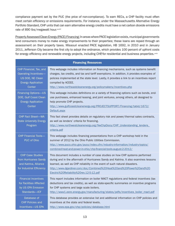compliance payment set by the PUC (the price of non-compliance). To earn RECs, a CHP facility must often meet certain efficiency or emissions requirements. For instance, under the Massachusetts Alternative Energy Portfolio Standard, CHP units that can earn alternative energy credits must have a net carbon dioxide emissions rate of 890 lbs/megawatt hour.*xxxviii*

Property Assessed Clean Energy (PACE) Financing: In areas where PACE legislation exists, municipal governments lend consumers money to make energy improvements to their properties; these loans are repaid through an assessment on their property taxes. Missouri enacted PACE legislation, HB 1692, in 2010 and in January 2011, Jefferson City became the first city to adopt the ordinance, which provides 100 percent of upfront costs for energy efficiency and renewable energy projects, including CHP, for residential and business properties.<sup>xxxix</sup>

| <b>Financing Resources</b>                                                                                         |                                                                                                                                                                                                                                                                                                                                                                         |  |
|--------------------------------------------------------------------------------------------------------------------|-------------------------------------------------------------------------------------------------------------------------------------------------------------------------------------------------------------------------------------------------------------------------------------------------------------------------------------------------------------------------|--|
| CHP Financial, Tax, and<br>Operating Incentives-<br>US DOE, NE Clean<br><b>Energy Application</b><br><b>Center</b> | This webpage includes information on financing mechanisms, such as systems benefit<br>charges, tax credits, and tax and tariff exemptions. In addition, it provides examples of<br>policies implemented at the state level. Lastly, it provides a link to an incentives report<br>compiled by ACEEE.<br>http://www.northeastcleanenergy.org/policymakers/incentives.php |  |
| <b>Financing Options-US</b><br>DOE, Gulf Coast Clean<br><b>Energy Application</b><br>Center                        | This webpage includes definitions on a variety of financing options such as bonds, end-<br>use purchases, enhanced leasing, and joint ventures, among others, all designed to<br>help promote CHP projects.<br>http://www.gulfcoastcleanenergy.org/PROJECTSUPPORT/Financing/tabid/1672/<br>Default.aspx                                                                 |  |
| <b>CHP Fact Sheet-WA</b><br><b>State University Energy</b><br>Program                                              | This fact sheet provides details on regulatory risk and power/thermal sales contracts,<br>as well as lenders' criteria for financing.<br>http://www.northwestcleanenergy.org/NwChpDocs/CHP Understanding lenders<br>criteria.pdf                                                                                                                                        |  |
| <b>CHP Financial Tools-</b><br>PUC of Ohio                                                                         | This webpage includes financing presentations from a CHP workshop held in the<br>summer of 2012 by the Ohio Public Utilities Commission.<br>http://www.puco.ohio.gov/puco/index.cfm/industry-information/industry-topics/<br>combined-heat-and-power-in-ohio/chp-financial-tools-august-2-2012/                                                                         |  |
| <b>CHP Case Studies</b><br>from Hurricanes Sandy<br>and Katrina, Alliance<br>for Industrial Efficiency             | This document includes a number of case studies on how CHP systems performed<br>during and in the aftermath of Hurricanes Sandy and Katrina. It also examines lessons<br>learned, as well as CHP reliability in the event of such natural disasters.<br>http://www.dgardiner.com/doc/Combined%20Heat%20and%20Power%20and%20<br>Electric%20Reliability%20rev.12-5-12.pdf |  |
| <b>Financial Incentives</b><br>for Facilities Affected<br>by US EPA Emission<br>Standards-ICF                      | This report includes information on boiler MACT regulations and federal incentives (tax<br>deductions and tax credits), as well as state-specific summaries on incentive programs<br>for CHP systems and large scale boilers.<br>http://www1.eere.energy.gov/manufacturing/states/pdfs/incentives_boiler_mact.pdf                                                       |  |
| Database of<br><b>CHP Policies and</b><br>Incentives-US EPA                                                        | This database provides an extensive list and additional information on CHP policies and<br>incentives at the state and federal levels.<br>http://www.epa.gov/chp/policies/database.html                                                                                                                                                                                 |  |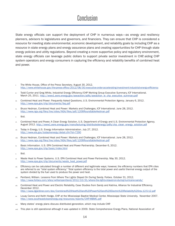### Conclusion

State energy officials can support the deployment of CHP in numerous ways—as energy and resiliency planners, advisors to legislatures and governors, and financiers. They can ensure that CHP is considered a resource for meeting state environmental, economic development, and reliability goals by including CHP as a resource in state energy plans and energy assurance plans and creating opportunities for CHP through state energy policies and utility regulations. Beyond creating a more supportive policy and regulatory environment, state energy officials can leverage public dollars to support private sector investment in CHP, aiding CHP system operators and energy consumers in capturing the efficiency and reliability benefits of combined heat and power.

- *i.* The White House, Office of the Press Secretary. August 30, 2012. http://www.whitehouse.gov/the-press-office/2012/08/30/executive-order-accelerating-investment-industrial-energy-efficiency
- *ii.* Todd Currier and Greg White, Industrial Energy Efficiency/CHP Working Group Executive Summary, ICF International. March 25, 2011. http://www1.eere.energy.gov/seeaction/pdfs/seeaction\_ie\_chp\_executive\_summary.pdf
- Combined Heat and Power: Frequently Asked Questions, U.S. Environmental Protection Agency. January 6, 2012. http://www.epa.gov/chp/documents/faq.pdf
- *iv.* Bruce Hedman, Combined Heat and Power: Markets and Challenges, ICF International. June 28, 2012. http://www.nga.org/files/live/sites/NGA/files/pdf/1206RoundtableHedman.pdf
- *v.* Ibid.
- *vi.* Combined Heat and Power, A Clean Energy Solution, U.S. Department of Energy and U.S. Environmental Protection Agency. August 2012. http://www1.eere.energy.gov/manufacturing/distributedenergy/pdfs/chp\_clean\_energy\_solution.pdf
- *vii.* Today in Energy, U.S. Energy Information Administration. July 27, 2012. http://www.eia.gov/todayinenergy/detail.cfm?id=7290
- *viii.* Bruce Hedman, Combined Heat and Power: Markets and Challenges, ICF International. June 28, 2012. http://www.nga.org/files/live/sites/NGA/files/pdf/1206RoundtableHedman.pdf
- *ix.* Basic Information. U.S. EPA Combined Heat and Power Partnership. December 6, 2012. http://www.epa.gov/chp/basic/index.html
- *x.* Ibid.
- *xi.* Waste Heat to Power Systems. U.S. EPA Combined Heat and Power Partnership. May 30, 2012. http://www.epa.gov/chp/documents/waste\_heat\_power.pdf
- *xii.* Efficiency can be calculated through a number of different and legitimate ways; however, the efficiency numbers that EPA cites are referred to as "total system efficiency." Total system efficiency is the total power and useful thermal energy output of the system divided by the fuel used to produce the power and heat.
- *xiii.* Pentland, William. Lessons From Where The Lights Stayed On During Sandy. Forbes. October 31, 2012. http://www.forbes.com/sites/williampentland/2012/10/31/where-the-lights-stayed-on-during-hurricane-sandy/
- *xiv.* Combined Heat and Power and Electric Reliability, Case Studies from Sandy and Katrina, Alliance for Industrial Efficiency. December 2012. http://www.dgardiner.com/doc/Combined%20Heat%20and%20Power%20and%20Electric%20Reliability%20rev.12-5-12.pdf
- *xv.* Louay Camra and Keith Hodge, CHP at the Mississippi Baptist Medical Center, Mississippi State University. November 2007. http://www.southeastcleanenergy.org/resources/reports/CHP-MBMC.pdf
- *xvi.* Many states' energy plans discuss distributed generation, which may include CHP.
- *xvii.* This plan is still operational although it was updated in 2009. State Comprehensive Energy Plans, National Association of